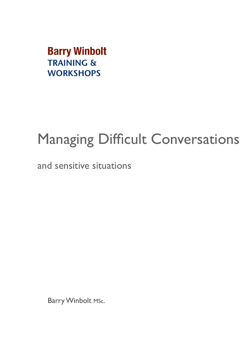**Barry Winbolt TRAINING & WORKSHOPS** 

# Managing Difficult Conversations

and sensitive situations

Barry Winbolt Msc.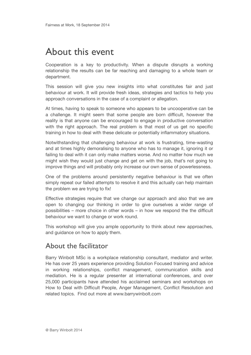# About this event

Cooperation is a key to productivity. When a dispute disrupts a working relationship the results can be far reaching and damaging to a whole team or department.

This session will give you new insights into what constitutes fair and just behaviour at work. It will provide fresh ideas, strategies and tactics to help you approach conversations in the case of a complaint or allegation.

At times, having to speak to someone who appears to be uncooperative can be a challenge. It might seem that some people are born difficult, however the reality is that anyone can be encouraged to engage in productive conversation with the right approach. The real problem is that most of us get no specific training in how to deal with these delicate or potentially inflammatory situations.

Notwithstanding that challenging behaviour at work is frustrating, time-wasting and at times highly demoralising to anyone who has to manage it, ignoring it or failing to deal with it can only make matters worse. And no matter how much we might wish they would just change and get on with the job, that's not going to improve things and will probably only increase our own sense of powerlessness.

One of the problems around persistently negative behaviour is that we often simply repeat our failed attempts to resolve it and this actually can help maintain the problem we are trying to fix!

Effective strategies require that we change our approach and also that we are open to changing our thinking in order to give ourselves a wider range of possibilities – more choice in other words – in how we respond the the difficult behaviour we want to change or work round.

This workshop will give you ample opportunity to think about new approaches, and guidance on how to apply them.

### About the facilitator

Barry Winbolt MSc is a workplace relationship consultant, mediator and writer. He has over 25 years experience providing Solution Focused training and advice in working relationships, conflict management, communication skills and mediation. He is a regular presenter at international conferences, and over 25,000 participants have attended his acclaimed seminars and workshops on How to Deal with Difficult People, Anger Management, Conflict Resolution and related topics. Find out more at [www.barrywinbolt.com](http://www.barrywinbolt.com)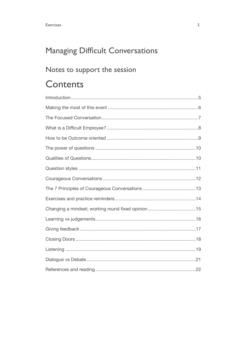# Managing Difficult Conversations

### Notes to support the session

# **Contents**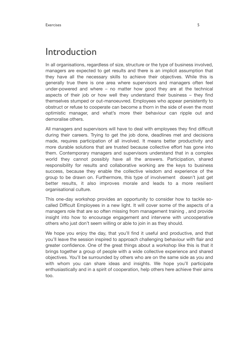### Introduction

In all organisations, regardless of size, structure or the type of business involved, managers are expected to get results and there is an implicit assumption that they have all the necessary skills to achieve their objectives. While this is generally true there is one area where supervisors and managers often feel under-powered and where – no matter how good they are at the technical aspects of their job or how well they understand their business – they find themselves stumped or out-manoeuvred. Employees who appear persistently to obstruct or refuse to cooperate can become a thorn in the side of even the most optimistic manager, and what's more their behaviour can ripple out and demoralise others.

All managers and supervisors will have to deal with employees they find difficult during their careers. Trying to get the job done, deadlines met and decisions made, requires participation of all involved. It means better productivity and more durable solutions that are trusted because collective effort has gone into them. Contemporary managers and supervisors understand that in a complex world they cannot possibly have all the answers. Participation, shared responsibility for results and collaborative working are the keys to business success, because they enable the collective wisdom and experience of the group to be drawn on. Furthermore, this type of involvement doesn't just get better results, it also improves morale and leads to a more resilient organisational culture.

This one-day workshop provides an opportunity to consider how to tackle socalled Difficult Employees in a new light. It will cover some of the aspects of a managers role that are so often missing from management training , and provide insight into how to encourage engagement and intervene with uncooperative others who just don't seem willing or able to join in as they should.

We hope you enjoy the day, that you'll find it useful and productive, and that you'll leave the session inspired to approach challenging behaviour with flair and greater confidence. One of the great things about a workshop like this is that it brings together a group of people with a wide collective experience and shared objectives. You'll be surrounded by others who are on the same side as you and with whom you can share ideas and insights. We hope you'll participate enthusiastically and in a spirit of cooperation, help others here achieve their aims too.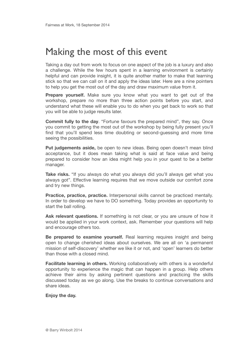# Making the most of this event

Taking a day out from work to focus on one aspect of the job is a luxury and also a challenge. While the few hours spent in a learning environment is certainly helpful and can provide insight, it is quite another matter to make that learning stick so that we can call on it and apply the ideas later. Here are a nine pointers to help you get the most out of the day and draw maximum value from it.

**Prepare yourself.** Make sure you know what you want to get out of the workshop, prepare no more than three action points before you start, and understand what these will enable you to do when you get back to work so that you will be able to judge results later.

**Commit fully to the day**. "Fortune favours the prepared mind", they say. Once you commit to getting the most out of the workshop by being fully present you'll find that you'll spend less time doubting or second-guessing and more time seeing the possibilities.

**Put judgements aside,** be open to new ideas. Being open doesn't mean blind acceptance, but it does mean taking what is said at face value and being prepared to consider how an idea might help you in your quest to be a better manager.

**Take risks.** "If you always do what you always did you'll always get what you always got". Effective learning requires that we move outside our comfort zone and try new things.

**Practice, practice, practice.** Interpersonal skills cannot be practiced mentally. In order to develop we have to DO something. Today provides an opportunity to start the ball rolling.

**Ask relevant questions.** If something is not clear, or you are unsure of how it would be applied in your work context, ask. Remember your questions will help and encourage others too.

**Be prepared to examine yourself.** Real learning requires insight and being open to change cherished ideas about ourselves. We are all on 'a permanent mission of self-discovery' whether we like it or not, and 'open' learners do better than those with a closed mind.

**Facilitate learning in others.** Working collaboratively with others is a wonderful opportunity to experience the magic that can happen in a group. Help others achieve their aims by asking pertinent questions and practicing the skills discussed today as we go along. Use the breaks to continue conversations and share ideas.

#### **Enjoy the day.**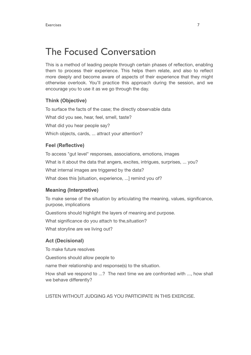# The Focused Conversation

This is a method of leading people through certain phases of reflection, enabling them to process their experience. This helps them relate, and also to reflect more deeply and become aware of aspects of their experience that they might otherwise overlook. You'll practice this approach during the session, and we encourage you to use it as we go through the day.

#### **Think (Objective)**

To surface the facts of the case; the directly observable data What did you see, hear, feel, smell, taste? What did you hear people say? Which objects, cards, ... attract your attention?

#### **Feel (Reflective)**

To access "gut level" responses, associations, emotions, images What is it about the data that angers, excites, intrigues, surprises, ... you? What internal images are triggered by the data? What does this [situation, experience, ...] remind you of?

#### **Meaning (Interpretive)**

To make sense of the situation by articulating the meaning, values, significance, purpose, implications Questions should highlight the layers of meaning and purpose. What significance do you attach to the,situation? What storyline are we living out?

#### **Act (Decisional)**

To make future resolves Questions should allow people to name their relationship and response(s) to the situation. How shall we respond to ...? The next time we are confronted with ..., how shall we behave differently?

LISTEN WITHOUT JUDGING AS YOU PARTICIPATE IN THIS EXERCISE.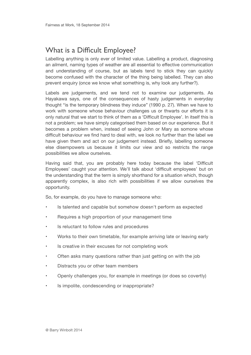### What is a Difficult Employee?

Labelling anything is only ever of limited value. Labelling a product, diagnosing an ailment, naming types of weather are all essential to effective communication and understanding of course, but as labels tend to stick they can quickly become confused with the character of the thing being labelled. They can also prevent enquiry (once we know what something is, why look any further?).

Labels are judgements, and we tend not to examine our judgements. As Hayakawa says, one of the consequences of hasty judgements in everyday thought "is the temporary blindness they induce" (1990 p. 27). When we have to work with someone whose behaviour challenges us or thwarts our efforts it is only natural that we start to think of them as a 'Difficult Employee'. In itself this is not a problem; we have simply categorised them based on our experience. But it becomes a problem when, instead of seeing John or Mary as somone whose difficult behaviour we find hard to deal with, we look no further than the label we have given them and act on our judgement instead. Briefly, labelling someone else disempowers us because it limits our view and so restricts the range possibilities we allow ourselves.

Having said that, you are probably here today because the label 'Difficult Employees' caught your attention. We'll talk about 'difficult employees' but on the understanding that the term is simply shorthand for a situation which, though apparently complex, is also rich with possibilities if we allow ourselves the opportunity.

So, for example, do you have to manage someone who:

- Is talented and capable but somehow doesn't perform as expected
- Requires a high proportion of your management time
- Is reluctant to follow rules and procedures
- Works to their own timetable, for example arriving late or leaving early
- Is creative in their excuses for not completing work
- Often asks many questions rather than just getting on with the job
- Distracts you or other team members
- Openly challenges you, for example in meetings (or does so covertly)
- Is impolite, condescending or inappropriate?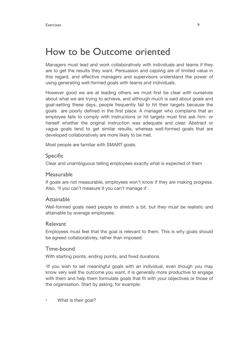# How to be Outcome oriented

Managers must lead and work collaboratively with individuals and teams if they are to get the results they want. Persuasion and cajoling are of limited value in this regard, and effective managers and supervisors understand the power of using generating well-formed goals with teams and individuals.

However good we are at leading others we must first be clear with ourselves about what we are trying to achieve, and although much is said about goals and goal-setting these days, people frequently fail to hit their targets because the goals are poorly defined in the first place. A manager who complains that an employee fails to comply with instructions or hit targets must first ask him- or herself whether the original instruction was adequate and clear. Abstract or vague goals tend to get similar results, whereas well-formed goals that are developed collaboratively are more likely to be met.

Most people are familiar with SMART goals:

#### Specific

Clear and unambiguous telling employees exactly what is expected of them

#### Measurable

If goals are not measurable, employees won't know if they are making progress. Also, 'if you can't measure it you can't manage it'.

#### Attainable

Well-formed goals need people to stretch a bit, but they must be realistic and attainable by average employees.

#### Relevant

Employees must feel that the goal is relevant to them. This is why goals should be agreed collaborativley, rather than imposed.

#### Time-bound

With starting points, ending points, and fixed durations.

•If you wish to set meaningful goals with an individual, even though you may know very well the outcome you want, it is generally more productive to engage with them and help them formulate goals that fit with your objectives or those of the organisation. Start by asking, for example:

What is their goal?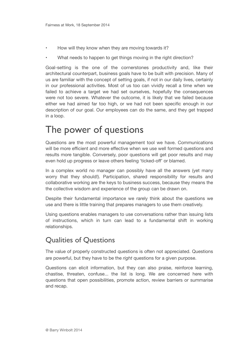- How will they know when they are moving towards it?
- What needs to happen to get things moving in the right direction?

Goal-setting is the one of the cornerstones productivity and, like their architectural counterpart, business goals have to be built with precision. Many of us are familiar with the concept of setting goals, if not in our daily lives, certainly in our professional activities. Most of us too can vividly recall a time when we failed to achieve a target we had set ourselves, hopefully the consequences were not too severe. Whatever the outcome, it is likely that we failed because either we had aimed far too high, or we had not been specific enough in our description of our goal. Our employees can do the same, and they get trapped in a loop.

### The power of questions

Questions are the most powerful management tool we have. Communications will be more efficient and more effective when we use well formed questions and results more tangible. Conversely, poor questions will get poor results and may even hold up progress or leave others feeling 'ticked-off' or blamed.

In a complex world no manager can possibly have all the answers (yet many worry that they should!). Participation, shared responsibility for results and collaborative working are the keys to business success, because they means the the collective wisdom and experience of the group can be drawn on.

Despite their fundamental importance we rarely think about the questions we use and there is little training that prepares managers to use them creatively.

Using questions enables managers to use conversations rather than issuing lists of instructions, which in turn can lead to a fundamental shift in working relationships.

### Qualities of Questions

The value of properly constructed questions is often not appreciated. Questions are powerful, but they have to be the *right* questions for a given purpose.

Questions can elicit information, but they can also praise, reinforce learning, chastise, threaten, confuse... the list is long. We are concerned here with questions that open possibilities, promote action, review barriers or summarise and recap.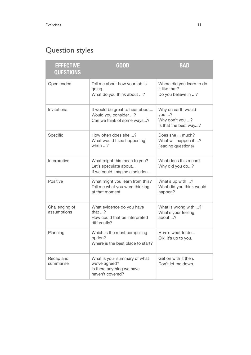# Question styles

| <b>EFFECTIVE</b><br>QUESTIONS | <b>GOOD</b>                                                                                    | <b>BAD</b>                                                              |
|-------------------------------|------------------------------------------------------------------------------------------------|-------------------------------------------------------------------------|
| Open ended                    | Tell me about how your job is<br>going.<br>What do you think about ?                           | Where did you learn to do<br>it like that?<br>Do you believe in ?       |
| Invitational                  | It would be great to hear about<br>Would you consider ?<br>Can we think of some ways?          | Why on earth would<br>you ?<br>Why don't you ?<br>Is that the best way? |
| Specific                      | How often does she ?<br>What would I see happening<br>when $\ldots$ ?                          | Does she  much?<br>What will happen if ?<br>(leading questions)         |
| Interpretive                  | What might this mean to you?<br>Let's speculate about<br>If we could imagine a solution        | What does this mean?<br>Why did you do?                                 |
| Positive                      | What might you learn from this?<br>Tell me what you were thinking<br>at that moment.           | What's up with ?<br>What did you think would<br>happen?                 |
| Challenging of<br>assumptions | What evidence do you have<br>that $\ldots$ ?<br>How could that be interpreted<br>differently?  | What is wrong with ?<br>What's your feeling<br>about ?                  |
| Planning                      | Which is the most compelling<br>option?<br>Where is the best place to start?                   | Here's what to do<br>OK, it's up to you.                                |
| Recap and<br>summarise        | What is your summary of what<br>we've agreed?<br>Is there anything we have<br>haven't covered? | Get on with it then.<br>Don't let me down.                              |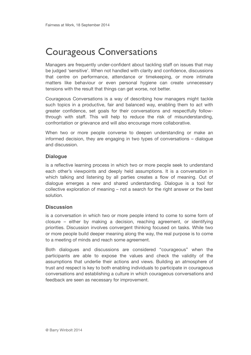# Courageous Conversations

Managers are frequently under-confident about tackling staff on issues that may be judged 'sensitive'. When not handled with clarity and confidence, discussions that centre on performance, attendance or timekeeping, or more intimate matters like behaviour or even personal hygiene can create unnecessary tensions with the result that things can get worse, not better.

Courageous Conversations is a way of describing how managers might tackle such topics in a productive, fair and balanced way, enabling them to act with greater confidence, set goals for their conversations and respectfully followthrough with staff. This will help to reduce the risk of misunderstanding, confrontation or grievance and will also encourage more collaborative.

When two or more people converse to deepen understanding or make an informed decision, they are engaging in two types of conversations – dialogue and discussion.

#### **Dialogue**

is a reflective learning process in which two or more people seek to understand each other's viewpoints and deeply held assumptions. It is a conversation in which talking and listening by all parties creates a flow of meaning. Out of dialogue emerges a new and shared understanding. Dialogue is a tool for collective exploration of meaning – not a search for the right answer or the best solution.

#### **Discussion**

is a conversation in which two or more people intend to come to some form of closure – either by making a decision, reaching agreement, or identifying priorities. Discussion involves convergent thinking focused on tasks. While two or more people build deeper meaning along the way, the real purpose is to come to a meeting of minds and reach some agreement.

Both dialogues and discussions are considered "courageous" when the participants are able to expose the values and check the validity of the assumptions that underlie their actions and views. Building an atmosphere of trust and respect is key to both enabling individuals to participate in courageous conversations and establishing a culture in which courageous conversations and feedback are seen as necessary for improvement.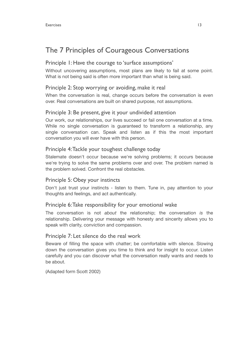### The 7 Principles of Courageous Conversations

#### Principle 1: Have the courage to 'surface assumptions'

Without uncovering assumptions, most plans are likely to fail at some point. What is not being said is often more important than what is being said.

#### Principle 2: Stop worrying or avoiding, make it real

When the conversation is real, change occurs before the conversation is even over. Real conversations are built on shared purpose, not assumptions.

#### Principle 3: Be present, give it your undivided attention

Our work, our relationships, our lives succeed or fail one conversation at a time. While no single conversation is guaranteed to transform a relationship, any single conversation can. Speak and listen as if this the most important conversation you will ever have with this person.

#### Principle 4: Tackle your toughest challenge today

Stalemate doesn't occur because we're solving problems; it occurs because we're trying to solve the same problems over and over. The problem named is the problem solved. Confront the real obstacles.

#### Principle 5: Obey your instincts

Don't just trust your instincts - listen to them. Tune in, pay attention to your thoughts and feelings, and act authentically.

#### Principle 6: Take responsibility for your emotional wake

The conversation is not *about* the relationship; the conversation *is* the relationship. Delivering your message with honesty and sincerity allows you to speak with clarity, conviction and compassion.

#### Principle 7: Let silence do the real work

Beware of filling the space with chatter; be comfortable with silence. Slowing down the conversation gives you time to think and for insight to occur. Listen carefully and you can discover what the conversation really wants and needs to be about.

(Adapted form Scott 2002)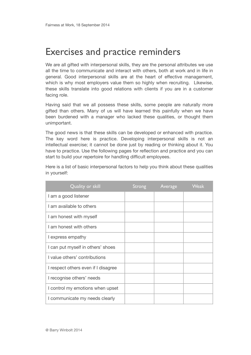# Exercises and practice reminders

We are all gifted with interpersonal skills, they are the personal attributes we use all the time to communicate and interact with others, both at work and in life in general. Good interpersonal skills are at the heart of effective management, which is why most employers value them so highly when recruiting. Likewise, these skills translate into good relations with clients if you are in a customer facing role.

Having said that we all possess these skills, some people are naturally more gifted than others. Many of us will have learned this painfully when we have been burdened with a manager who lacked these qualities, or thought them unimportant.

The good news is that these skills can be developed or enhanced with practice. The key word here is practice. Developing interpersonal skills is not an intellectual exercise; it cannot be done just by reading or thinking about it. You have to practice. Use the following pages for reflection and practice and you can start to build your repertoire for handling difficult employees.

| Here is a list of basic interpersonal factors to help you think about these qualities |  |  |  |  |
|---------------------------------------------------------------------------------------|--|--|--|--|
| in yourself:                                                                          |  |  |  |  |

| Quality or skill                    | Strong | Average | <b>Weak</b> |
|-------------------------------------|--------|---------|-------------|
| I am a good listener                |        |         |             |
| I am available to others            |        |         |             |
| I am honest with myself             |        |         |             |
| I am honest with others             |        |         |             |
| I express empathy                   |        |         |             |
| I can put myself in others' shoes   |        |         |             |
| I value others' contributions       |        |         |             |
| I respect others even if I disagree |        |         |             |
| I recognise others' needs           |        |         |             |
| I control my emotions when upset    |        |         |             |
| I communicate my needs clearly      |        |         |             |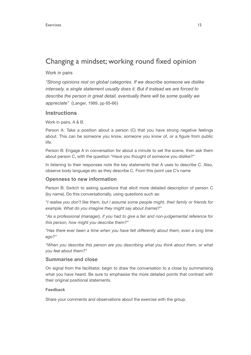### Changing a mindset; working round fixed opinion

#### Work in pairs

*"Strong opinions rest on global categories. If we describe someone we dislike intensely, a single statement usually does it. But if instead we are forced to describe the person in great detail, eventually there will be some quality we appreciate"* (Langer, 1989, pp 65-66)

#### **Instructions**

Work in pairs, A & B.

Person A: Take a position about a person (C) that you have strong negative feelings about. This can be someone you know, someone you know of, or a figure from public life.

Person B: Engage A in conversation for about a minute to set the scene, then ask them about person C, with the question "Have you thought of someone you dislike?"

In listening to their responses note the key statements that A uses to describe C. Also, observe body language etc as they describe C. From this point use C's name

#### **Openness to new information**

Person B: Switch to asking questions that elicit more detailed description of person C (by name). Do this conversationally, using questions such as:

"*I realise you don't like them, but I assume some people might, their family or friends for example. What do you imagine they might say about (name)?"* 

*"As a professional (manager), if you had to give a fair and non-judgemental reference for this person, how might you describe them?"* 

*"Has there ever been a time when you have felt differently about them, even a long time ago?"* 

*"When you describe this person are you describing what you think about them, or what you feel about them?"* 

#### **Summarise and close**

On signal from the facilitator, begin to draw the conversation to a close by summarising what you have heard. Be sure to emphasise the more detailed points that contrast with their original positional statements.

#### **Feedback**

Share your comments and observations about the exercise with the group.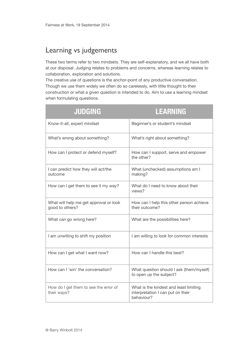### Learning vs judgements

These two terms refer to two mindsets. They are self-explanatory, and we all have both at our disposal. Judging relates to problems and concerns, whereas learning relates to collaboration, exploration and solutions.

The creative use of questions is the anchor-point of any productive conversation. Though we use them widely we often do so carelessly, with little thought to their construction or what a given question is intended to do. Aim to use a learning mindset when formulating questions.

| <b>JUDGING</b>                                            | <b>LEARNING</b>                                                                           |
|-----------------------------------------------------------|-------------------------------------------------------------------------------------------|
| Know-it-all, expert mindset                               | Beginner's or student's mindset                                                           |
| What's wrong about something?                             | What's right about something?                                                             |
| How can I protect or defend myself?                       | How can I support, serve and empower<br>the other?                                        |
| I can predict how they will act/the<br>outcome            | What (unchecked) assumptions am I<br>making?                                              |
| How can I get them to see it my way?                      | What do I need to know about their<br>views?                                              |
| What will help me get approval or look<br>good to others? | How can I help this other person achieve<br>their outcome?                                |
| What can go wrong here?                                   | What are the possibilities here?                                                          |
| I am unwilling to shift my position                       | I am willing to look for common interests                                                 |
| How can I get what I want now?                            | How can I handle this best?                                                               |
| How can I 'win' the conversation?                         | What question should I ask (them/myself)<br>to open up the subject?                       |
| How do I get them to see the error of<br>their ways?      | What is the kindest and least limiting<br>interpretation I can put on their<br>behaviour? |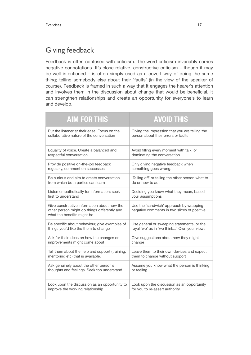### Giving feedback

Feedback is often confused with criticism. The word criticism invariably carries negative connotations. It's close relative, constructive criticism – though it may be well intentioned – is often simply used as a covert way of doing the same thing; telling somebody else about their 'faults' (in the view of the speaker of course). Feedback is framed in such a way that it engages the hearer's attention and involves them in the discussion about change that would be beneficial. It can strengthen relationships and create an opportunity for everyone's to learn and develop.

| <b>AIM FOR THIS</b>                                                                                                       | <b>AVOID THIS</b>                                                                      |
|---------------------------------------------------------------------------------------------------------------------------|----------------------------------------------------------------------------------------|
| Put the listener at their ease. Focus on the                                                                              | Giving the impression that you are telling the                                         |
| collaborative nature of the conversation                                                                                  | person about their errors or faults                                                    |
| Equality of voice. Create a balanced and                                                                                  | Avoid filling every moment with talk, or                                               |
| respectful conversation                                                                                                   | dominating the conversation                                                            |
| Provide positive on-the-job feedback                                                                                      | Only giving negative feedback when                                                     |
| regularly, comment on successes                                                                                           | something goes wrong.                                                                  |
| Be curious and aim to create conversation                                                                                 | 'Telling off' or telling the other person what to                                      |
| from which both parties can learn                                                                                         | do or how to act                                                                       |
| Listen empathetically for information; seek                                                                               | Deciding you know what they mean, based                                                |
| first to understand                                                                                                       | your assumptions                                                                       |
| Give constructive information about how the<br>other person might do things differently and<br>what the benefits might be | Use the 'sandwich' approach by wrapping<br>negative comments in two slices of positive |
| Be specific about behaviour, give examples of                                                                             | Use general or sweeping statements, or the                                             |
| things you'd like the them to change                                                                                      | royal 'we' as in 'we think' Own your views                                             |
| Ask for their ideas on how the changes or                                                                                 | Give suggestions about how they might                                                  |
| improvements might come about                                                                                             | change                                                                                 |
| Tell them about the help and support (training,                                                                           | Leave them to their own devices and expect                                             |
| mentoring etc) that is available.                                                                                         | them to change without support                                                         |
| Ask genuinely about the other person's                                                                                    | Assume you know what the person is thinking                                            |
| thoughts and feelings. Seek too understand                                                                                | or feeling                                                                             |
| Look upon the discussion as an opportunity to                                                                             | Look upon the discussion as an opportunity                                             |
| improve the working relationship                                                                                          | for you to re-assert authority                                                         |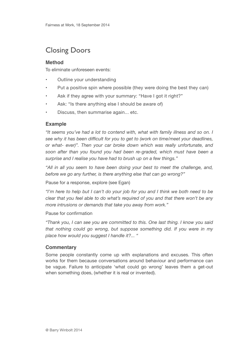### Closing Doors

#### **Method**

To eliminate unforeseen events:

- Outline your understanding
- Put a positive spin where possible (they were doing the best they can)
- Ask if they agree with your summary: "Have I got it right?"
- Ask: "Is there anything else I should be aware of)
- Discuss, then summarise again... etc.

#### **Example**

*"It seems you've had a lot to contend with, what with family illness and so on. I see why it has been difficult for you to get to (work on time/meet your deadlines, or what- ever)". Then your car broke down which was really unfortunate, and soon after than you found you had been re-graded, which must have been a surprise and I realise you have had to brush up on a few things."* 

*"All in all you seem to have been doing your best to meet the challenge, and, before we go any further, is there anything else that can go wrong?"* 

Pause for a response, explore (see Egan)

*"I'm here to help but I can't do your job for you and I think we both need to be clear that you feel able to do what's required of you and that there won't be any more intrusions or demands that take you away from work."* 

Pause for confirmation

*"Thank you, I can see you are committed to this. One last thing. I know you said that nothing could go wrong, but suppose something did. If you were in my place how would you suggest I handle it?... "* 

#### **Commentary**

Some people constantly come up with explanations and excuses. This often works for them because conversations around behaviour and performance can be vague. Failure to anticipate 'what could go wrong' leaves them a get-out when something does, (whether it is real or invented).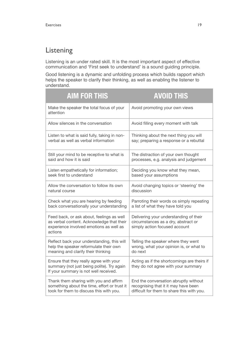### Listening

Listening is an under rated skill. It is the most important aspect of effective communication and 'First seek to understand' is a sound guiding principle.

Good listening is a dynamic and unfolding process which builds rapport which helps the speaker to clarify their thinking, as well as enabling the listener to understand. 

| <b>AIM FOR THIS</b>                                                                                                                          | <b>AVOID THIS</b>                                                                                              |
|----------------------------------------------------------------------------------------------------------------------------------------------|----------------------------------------------------------------------------------------------------------------|
| Make the speaker the total focus of your<br>attention                                                                                        | Avoid promoting your own views                                                                                 |
| Allow silences in the conversation                                                                                                           | Avoid filling every moment with talk                                                                           |
| Listen to what is said fully, taking in non-                                                                                                 | Thinking about the next thing you will                                                                         |
| verbal as well as verbal information                                                                                                         | say; preparing a response or a rebuttal                                                                        |
| Still your mind to be receptive to what is                                                                                                   | The distraction of your own thought                                                                            |
| said and how it is said                                                                                                                      | processes, e.g. analysis and judgement                                                                         |
| Listen empathetically for information;                                                                                                       | Deciding you know what they mean,                                                                              |
| seek first to understand                                                                                                                     | based your assumptions                                                                                         |
| Allow the conversation to follow its own                                                                                                     | Avoid changing topics or 'steering' the                                                                        |
| natural course                                                                                                                               | discussion                                                                                                     |
| Check what you are hearing by feeding                                                                                                        | Parroting their words os simply repeating                                                                      |
| back conversationally your understanding                                                                                                     | a list of what they have told you                                                                              |
| Feed back, or ask about, feelings as well<br>as verbal content. Acknowledge that their<br>experience involved emotions as well as<br>actions | Delivering your understanding of their<br>circumstances as a dry, abstract or<br>simply action focused account |
| Reflect back your understanding, this will                                                                                                   | Telling the speaker where they went                                                                            |
| help the speaker reformulate their own                                                                                                       | wrong, what your opinion is, or what to                                                                        |
| meaning and clarify their thinking                                                                                                           | do next                                                                                                        |
| Ensure that they really agree with your<br>summary (not just being polite). Try again<br>If your summary is not well received.               | Acting as if the shortcomings are theirs if<br>they do not agree with your summary                             |
| Thank them sharing with you and affirm                                                                                                       | End the conversation abruptly without                                                                          |
| something about the time, effort or trust it                                                                                                 | recognising that it it may have been                                                                           |
| took for them to discuss this with you.                                                                                                      | difficult for them to share this with you.                                                                     |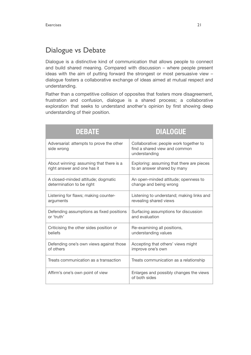### Dialogue vs Debate

Dialogue is a distinctive kind of communication that allows people to connect and build shared meaning. Compared with discussion – where people present ideas with the aim of putting forward the strongest or most persuasive view – dialogue fosters a collaborative exchange of ideas aimed at mutual respect and understanding.

Rather than a competitive collision of opposites that fosters more disagreement, frustration and confusion, dialogue is a shared process; a collaborative exploration that seeks to understand another's opinion by first showing deep understanding of their position.

| <b>DEBATE</b>                                          | <b>DIALOGUE</b>                                                                          |
|--------------------------------------------------------|------------------------------------------------------------------------------------------|
| Adversarial: attempts to prove the other<br>side wrong | Collaborative: people work together to<br>find a shared view and common<br>understanding |
| About winning: assuming that there is a                | Exploring: assuming that there are pieces                                                |
| right answer and one has it                            | to an answer shared by many                                                              |
| A closed-minded attitude; dogmatic                     | An open-minded attitude; openness to                                                     |
| determination to be right                              | change and being wrong                                                                   |
| Listening for flaws; making counter-                   | Listening to understand; making links and                                                |
| arguments                                              | revealing shared views                                                                   |
| Defending assumptions as fixed positions               | Surfacing assumptions for discussion                                                     |
| or 'truth'                                             | and evaluation                                                                           |
| Criticising the other sides position or                | Re-examining all positions,                                                              |
| beliefs                                                | understanding values                                                                     |
| Defending one's own views against those                | Accepting that others' views might                                                       |
| of others                                              | improve one's own                                                                        |
| Treats communication as a transaction                  | Treats communication as a relationship                                                   |
| Affirm's one's own point of view                       | Enlarges and possibly changes the views<br>of both sides                                 |